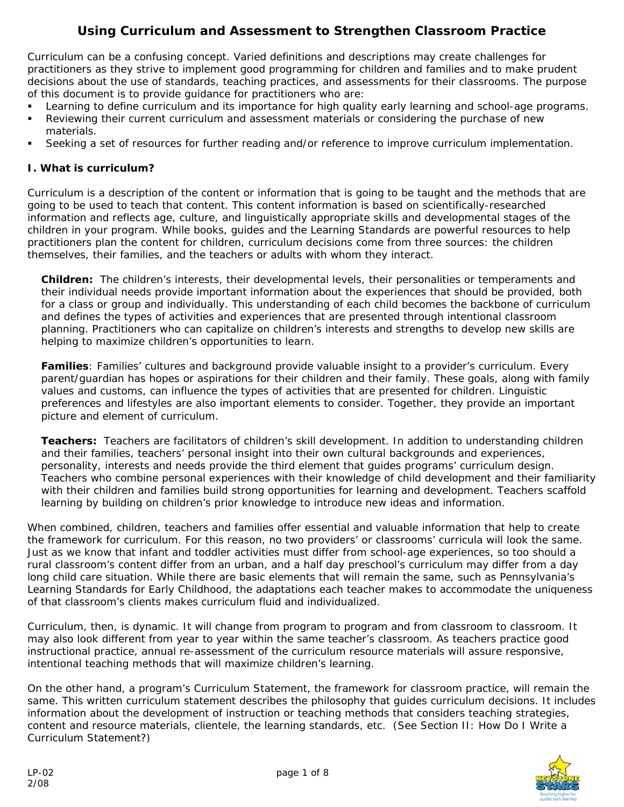# **Using Curriculum and Assessment to Strengthen Classroom Practice**

Curriculum can be a confusing concept. Varied definitions and descriptions may create challenges for practitioners as they strive to implement good programming for children and families and to make prudent decisions about the use of standards, teaching practices, and assessments for their classrooms. The purpose of this document is to provide guidance for practitioners who are:

- Learning to define curriculum and its importance for high quality early learning and school-age programs.
- Reviewing their current curriculum and assessment materials or considering the purchase of new materials.
- Seeking a set of resources for further reading and/or reference to improve curriculum implementation.

# **I. What is curriculum?**

Curriculum is a description of the content or information that is going to be taught and the methods that are going to be used to teach that content. This content information is based on scientifically-researched information and reflects age, culture, and linguistically appropriate skills and developmental stages of the children in your program. While books, guides and the Learning Standards are powerful resources to help practitioners plan the content for children, curriculum decisions come from three sources: the children themselves, their families, and the teachers or adults with whom they interact.

**Children:** The children's interests, their developmental levels, their personalities or temperaments and their individual needs provide important information about the experiences that should be provided, both for a class or group and individually. This understanding of each child becomes the backbone of curriculum and defines the types of activities and experiences that are presented through intentional classroom planning. Practitioners who can capitalize on children's interests and strengths to develop new skills are helping to maximize children's opportunities to learn.

**Families**: Families' cultures and background provide valuable insight to a provider's curriculum. Every parent/guardian has hopes or aspirations for their children and their family. These goals, along with family values and customs, can influence the types of activities that are presented for children. Linguistic preferences and lifestyles are also important elements to consider. Together, they provide an important picture and element of curriculum.

**Teachers:** Teachers are facilitators of children's skill development. In addition to understanding children and their families, teachers' personal insight into their own cultural backgrounds and experiences, personality, interests and needs provide the third element that guides programs' curriculum design. Teachers who combine personal experiences with their knowledge of child development and their familiarity with their children and families build strong opportunities for learning and development. Teachers scaffold learning by building on children's prior knowledge to introduce new ideas and information.

When combined, children, teachers and families offer essential and valuable information that help to create the framework for curriculum. For this reason, no two providers' or classrooms' curricula will look the same. Just as we know that infant and toddler activities must differ from school-age experiences, so too should a rural classroom's content differ from an urban, and a half day preschool's curriculum may differ from a day long child care situation. While there are basic elements that will remain the same, such as Pennsylvania's Learning Standards for Early Childhood, the adaptations each teacher makes to accommodate the uniqueness of that classroom's clients makes curriculum fluid and individualized.

Curriculum, then, is dynamic. It will change from program to program and from classroom to classroom. It may also look different from year to year within the same teacher's classroom. As teachers practice good instructional practice, annual re-assessment of the curriculum resource materials will assure responsive, intentional teaching methods that will maximize children's learning.

On the other hand, a program's Curriculum Statement, the framework for classroom practice, will remain the same. This written curriculum statement describes the philosophy that guides curriculum decisions. It includes information about the development of instruction or teaching methods that considers teaching strategies, content and resource materials, clientele, the learning standards, etc. *(See Section II: How Do I Write a Curriculum Statement?)* 

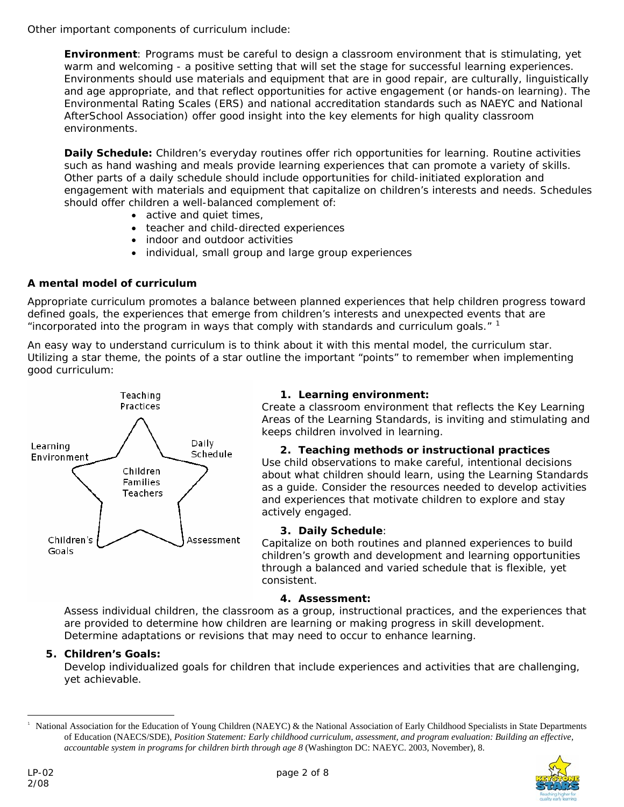Other important components of curriculum include:

**Environment**: Programs must be careful to design a classroom environment that is stimulating, yet warm and welcoming - a positive setting that will set the stage for successful learning experiences. Environments should use materials and equipment that are in good repair, are culturally, linguistically and age appropriate, and that reflect opportunities for active engagement (or hands-on learning). The Environmental Rating Scales (ERS) and national accreditation standards such as NAEYC and National AfterSchool Association) offer good insight into the key elements for high quality classroom environments.

**Daily Schedule:** Children's everyday routines offer rich opportunities for learning. Routine activities such as hand washing and meals provide learning experiences that can promote a variety of skills. Other parts of a daily schedule should include opportunities for child-initiated exploration and engagement with materials and equipment that capitalize on children's interests and needs. Schedules should offer children a well-balanced complement of:

- active and quiet times,
- teacher and child-directed experiences
- indoor and outdoor activities
- individual, small group and large group experiences

# **A mental model of curriculum**

Appropriate curriculum promotes a balance between planned experiences that help children progress toward defined goals, the experiences that emerge from children's interests and unexpected events that are "incorporated into the program in ways that comply with standards and curriculum goals."  $1$ 

An easy way to understand curriculum is to think about it with this mental model, the curriculum star. Utilizing a star theme, the points of a star outline the important "points" to remember when implementing good curriculum:



# **1. Learning environment:**

Create a classroom environment that reflects the Key Learning Areas of the Learning Standards, is inviting and stimulating and keeps children involved in learning.

# **2. Teaching methods or instructional practices**

Use child observations to make careful, intentional decisions about what children should learn, using the Learning Standards as a guide. Consider the resources needed to develop activities and experiences that motivate children to explore and stay actively engaged.

# **3. Daily Schedule**:

Capitalize on both routines and planned experiences to build children's growth and development and learning opportunities through a balanced and varied schedule that is flexible, yet consistent.

# **4. Assessment:**

Assess individual children, the classroom as a group, instructional practices, and the experiences that are provided to determine how children are learning or making progress in skill development. Determine adaptations or revisions that may need to occur to enhance learning.

# **5. Children's Goals:**

Develop individualized goals for children that include experiences and activities that are challenging, yet achievable.

<span id="page-1-0"></span><sup>1</sup> National Association for the Education of Young Children (NAEYC) & the National Association of Early Childhood Specialists in State Departments of Education (NAECS/SDE), *Position Statement: Early childhood curriculum, assessment, and program evaluation: Building an effective, accountable system in programs for children birth through age 8* (Washington DC: NAEYC. 2003, November), 8.



 $\overline{a}$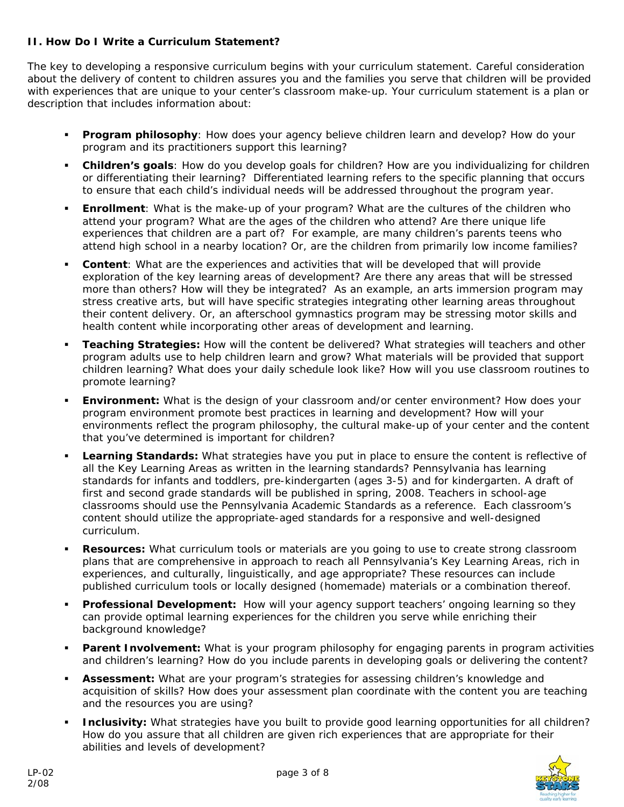# **II. How Do I Write a Curriculum Statement?**

The key to developing a responsive curriculum begins with your curriculum statement. Careful consideration about the delivery of content to children assures you and the families you serve that children will be provided with experiences that are unique to your center's classroom make-up. Your curriculum statement is a plan or description that includes information about:

- **Program philosophy**: How does your agency believe children learn and develop? How do your program and its practitioners support this learning?
- **Children's goals**: How do you develop goals for children? How are you individualizing for children or differentiating their learning? *Differentiated learning refers to the specific planning that occurs to ensure that each child's individual needs will be addressed throughout the program year.*
- **Enrollment**: What is the make-up of your program? What are the cultures of the children who attend your program? What are the ages of the children who attend? Are there unique life experiences that children are a part of? For example, are many children's parents teens who attend high school in a nearby location? Or, are the children from primarily low income families?
- **Content**: What are the experiences and activities that will be developed that will provide exploration of the key learning areas of development? Are there any areas that will be stressed more than others? How will they be integrated*?* As an example, an arts immersion program may stress creative arts, but will have specific strategies integrating other learning areas throughout their content delivery. Or, an afterschool gymnastics program may be stressing motor skills and health content while incorporating other areas of development and learning*.*
- **Teaching Strategies:** How will the content be delivered? What strategies will teachers and other program adults use to help children learn and grow? What materials will be provided that support children learning? What does your daily schedule look like? How will you use classroom routines to promote learning?
- **Environment:** What is the design of your classroom and/or center environment? How does your program environment promote best practices in learning and development? How will your environments reflect the program philosophy, the cultural make-up of your center and the content that you've determined is important for children?
- **Learning Standards:** What strategies have you put in place to ensure the content is reflective of all the Key Learning Areas as written in the learning standards? Pennsylvania has learning standards for infants and toddlers, pre-kindergarten (ages 3-5) and for kindergarten. A draft of first and second grade standards will be published in spring, 2008. Teachers in school-age classrooms should use the Pennsylvania Academic Standards as a reference. Each classroom's content should utilize the appropriate-aged standards for a responsive and well-designed curriculum.
- **Resources:** What curriculum tools or materials are you going to use to create strong classroom plans that are comprehensive in approach to reach all Pennsylvania's Key Learning Areas, rich in experiences, and culturally, linguistically, and age appropriate? These resources can include published curriculum tools or locally designed (homemade) materials or a combination thereof.
- **Professional Development:** How will your agency support teachers' ongoing learning so they can provide optimal learning experiences for the children you serve while enriching their background knowledge?
- **Parent Involvement:** What is your program philosophy for engaging parents in program activities and children's learning? How do you include parents in developing goals or delivering the content?
- **Assessment:** What are your program's strategies for assessing children's knowledge and acquisition of skills? How does your assessment plan coordinate with the content you are teaching and the resources you are using?
- **Inclusivity:** What strategies have you built to provide good learning opportunities for all children? How do you assure that all children are given rich experiences that are appropriate for their abilities and levels of development?

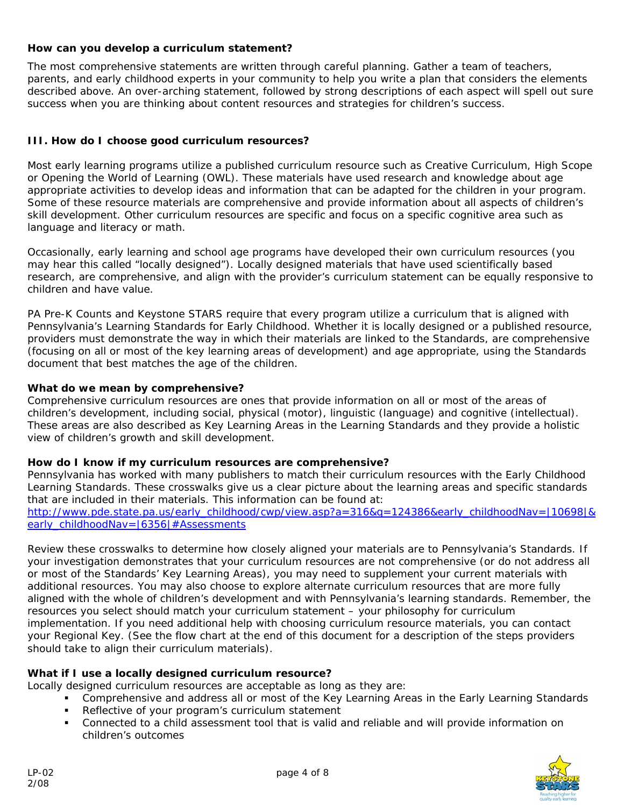# **How can you develop a curriculum statement?**

The most comprehensive statements are written through careful planning. Gather a team of teachers, parents, and early childhood experts in your community to help you write a plan that considers the elements described above. An over-arching statement, followed by strong descriptions of each aspect will spell out sure success when you are thinking about content resources and strategies for children's success.

# **III. How do I choose good curriculum resources?**

Most early learning programs utilize a published curriculum resource such as Creative Curriculum, High Scope or Opening the World of Learning (OWL). These materials have used research and knowledge about age appropriate activities to develop ideas and information that can be adapted for the children in your program. Some of these resource materials are comprehensive and provide information about all aspects of children's skill development. Other curriculum resources are specific and focus on a specific cognitive area such as language and literacy or math.

Occasionally, early learning and school age programs have developed their own curriculum resources (you may hear this called "locally designed"). Locally designed materials that have used scientifically based research, are comprehensive, and align with the provider's curriculum statement can be equally responsive to children and have value.

PA Pre-K Counts and Keystone STARS require that every program utilize a curriculum that is aligned with Pennsylvania's Learning Standards for Early Childhood. Whether it is locally designed or a published resource, providers must demonstrate the way in which their materials are linked to the Standards, are comprehensive (focusing on all or most of the key learning areas of development) and age appropriate, using the Standards document that best matches the age of the children.

#### **What do we mean by comprehensive?**

Comprehensive curriculum resources are ones that provide information on all or most of the areas of children's development, including social, physical (motor), linguistic (language) and cognitive (intellectual). These areas are also described as Key Learning Areas in the Learning Standards and they provide a holistic view of children's growth and skill development.

#### **How do I know if my curriculum resources are comprehensive?**

Pennsylvania has worked with many publishers to match their curriculum resources with the Early Childhood Learning Standards. These crosswalks give us a clear picture about the learning areas and specific standards that are included in their materials. This information can be found at: [http://www.pde.state.pa.us/early\\_childhood/cwp/view.asp?a=316&q=124386&early\\_childhoodNav=|10698|&](http://www.pde.state.pa.us/early_childhood/cwp/view.asp?a=316&q=124386&early_childhoodNav=|10698|&early_childhoodNav=|6356|#Assessments)

[early\\_childhoodNav=|6356|#Assessments](http://www.pde.state.pa.us/early_childhood/cwp/view.asp?a=316&q=124386&early_childhoodNav=|10698|&early_childhoodNav=|6356|#Assessments)

Review these crosswalks to determine how closely aligned your materials are to Pennsylvania's Standards. If your investigation demonstrates that your curriculum resources are not comprehensive (or do not address all or most of the Standards' Key Learning Areas), you may need to supplement your current materials with additional resources. You may also choose to explore alternate curriculum resources that are more fully aligned with the whole of children's development and with Pennsylvania's learning standards. Remember, the resources you select should match your curriculum statement – your philosophy for curriculum implementation. If you need additional help with choosing curriculum resource materials, you can contact your Regional Key. *(See the flow chart at the end of this document for a description of the steps providers should take to align their curriculum materials).* 

# **What if I use a locally designed curriculum resource?**

Locally designed curriculum resources are acceptable as long as they are:

- Comprehensive and address all or most of the Key Learning Areas in the Early Learning Standards
- Reflective of your program's curriculum statement
- Connected to a child assessment tool that is valid and reliable and will provide information on children's outcomes

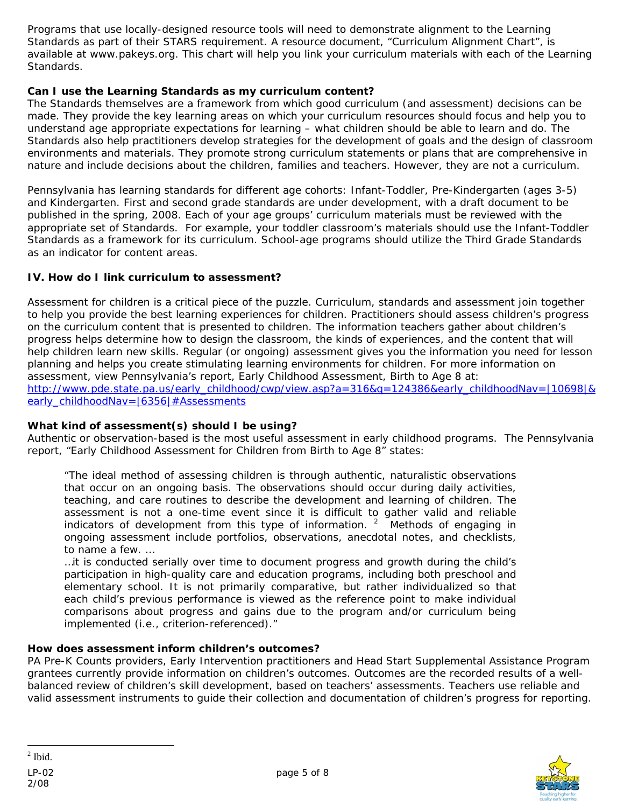<span id="page-4-0"></span>Programs that use locally-designed resource tools will need to demonstrate alignment to the Learning Standards as part of their STARS requirement. A resource document, "Curriculum Alignment Chart", is available at www.pakeys.org. This chart will help you link your curriculum materials with each of the Learning Standards.

# **Can I use the Learning Standards as my curriculum content?**

The Standards themselves are a framework from which good curriculum (and assessment) decisions can be made. They provide the key learning areas on which your curriculum resources should focus and help you to understand age appropriate expectations for learning – what children should be able to learn and do. The Standards also help practitioners develop strategies for the development of goals and the design of classroom environments and materials. They promote strong curriculum statements or plans that are comprehensive in nature and include decisions about the children, families and teachers. However, they are not a curriculum.

Pennsylvania has learning standards for different age cohorts: Infant-Toddler, Pre-Kindergarten (ages 3-5) and Kindergarten. First and second grade standards are under development, with a draft document to be published in the spring, 2008. Each of your age groups' curriculum materials must be reviewed with the appropriate set of Standards*.* For example, your toddler classroom's materials should use the Infant-Toddler Standards as a framework for its curriculum. School-age programs should utilize the Third Grade Standards as an indicator for content areas.

# **IV. How do I link curriculum to assessment?**

Assessment for children is a critical piece of the puzzle. Curriculum, standards and assessment join together to help you provide the best learning experiences for children. Practitioners should assess children's progress on the curriculum content that is presented to children. The information teachers gather about children's progress helps determine how to design the classroom, the kinds of experiences, and the content that will help children learn new skills. Regular (or ongoing) assessment gives you the information you need for lesson planning and helps you create stimulating learning environments for children. For more information on assessment, view Pennsylvania's report, Early Childhood Assessment, Birth to Age 8 at: [http://www.pde.state.pa.us/early\\_childhood/cwp/view.asp?a=316&q=124386&early\\_childhoodNav=|10698|&](http://www.pde.state.pa.us/early_childhood/cwp/view.asp?a=316&q=124386&early_childhoodNav=|10698|&early_childhoodNav=|6356|#Assessments) [early\\_childhoodNav=|6356|#Assessments](http://www.pde.state.pa.us/early_childhood/cwp/view.asp?a=316&q=124386&early_childhoodNav=|10698|&early_childhoodNav=|6356|#Assessments)

#### **What kind of assessment(s) should I be using?**

Authentic or observation-based is the most useful assessment in early childhood programs. The Pennsylvania report, "Early Childhood Assessment for Children from Birth to Age 8" states:

"The ideal method of assessing children is through authentic, naturalistic observations that occur on an ongoing basis. The observations should occur during daily activities, teaching, and care routines to describe the development and learning of children. The assessment is not a one-time event since it is difficult to gather valid and reliable indicators of development from this type of information.  $2$  Methods of engaging in ongoing assessment include portfolios, observations, anecdotal notes, and checklists, to name a few. …

…it is conducted serially over time to document progress and growth during the child's participation in high-quality care and education programs, including both preschool and elementary school. It is not primarily comparative, but rather individualized so that each child's previous performance is viewed as the reference point to make individual comparisons about progress and gains due to the program and/or curriculum being implemented (i.e., criterion-referenced)."

#### **How does assessment inform children's outcomes?**

PA Pre-K Counts providers, Early Intervention practitioners and Head Start Supplemental Assistance Program grantees currently provide information on children's outcomes. Outcomes are the recorded results of a wellbalanced review of children's skill development, based on teachers' assessments. Teachers use reliable and valid assessment instruments to guide their collection and documentation of children's progress for reporting.



 $\overline{a}$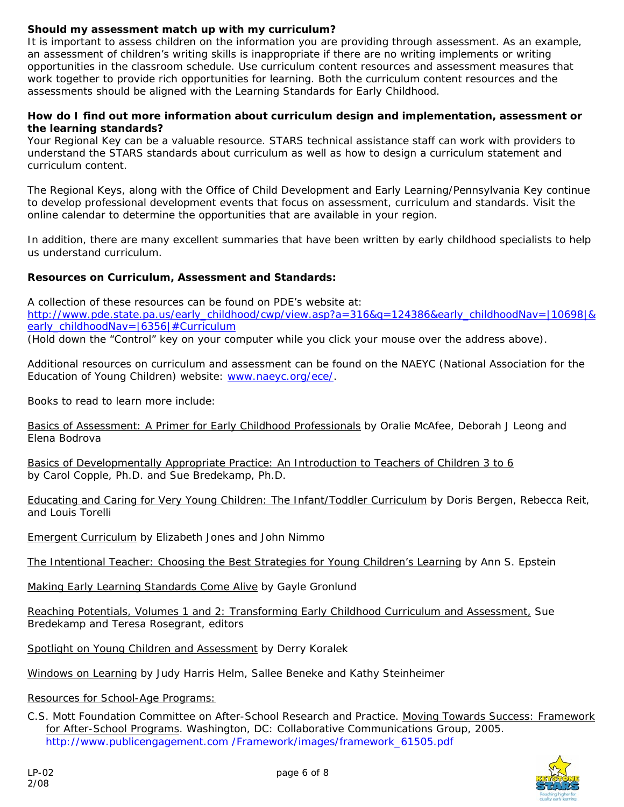# **Should my assessment match up with my curriculum?**

It is important to assess children on the information you are providing through assessment. As an example, an assessment of children's writing skills is inappropriate if there are no writing implements or writing opportunities in the classroom schedule. Use curriculum content resources and assessment measures that work together to provide rich opportunities for learning. Both the curriculum content resources and the assessments should be aligned with the Learning Standards for Early Childhood.

#### **How do I find out more information about curriculum design and implementation, assessment or the learning standards?**

Your Regional Key can be a valuable resource. STARS technical assistance staff can work with providers to understand the STARS standards about curriculum as well as how to design a curriculum statement and curriculum content.

The Regional Keys, along with the Office of Child Development and Early Learning/Pennsylvania Key continue to develop professional development events that focus on assessment, curriculum and standards. Visit the online calendar to determine the opportunities that are available in your region.

In addition, there are many excellent summaries that have been written by early childhood specialists to help us understand curriculum.

# **Resources on Curriculum, Assessment and Standards:**

A collection of these resources can be found on PDE's website at:

[http://www.pde.state.pa.us/early\\_childhood/cwp/view.asp?a=316&q=124386&early\\_childhoodNav=|10698|&](http://www.pde.state.pa.us/early_childhood/cwp/view.asp?a=316&q=124386&early_childhoodNav=|10698|&early_childhoodNav=|6356|#Curriculum) [early\\_childhoodNav=|6356|#Curriculum](http://www.pde.state.pa.us/early_childhood/cwp/view.asp?a=316&q=124386&early_childhoodNav=|10698|&early_childhoodNav=|6356|#Curriculum)

(Hold down the "Control" key on your computer while you click your mouse over the address above).

Additional resources on curriculum and assessment can be found on the NAEYC (National Association for the Education of Young Children) website: [www.naeyc.org/ece/](http://www.naeyc.org/ece/).

Books to read to learn more include:

Basics of Assessment: A Primer for Early Childhood Professionals by Oralie McAfee, Deborah J Leong and Elena Bodrova

Basics of Developmentally Appropriate Practice: An Introduction to Teachers of Children 3 to 6 by Carol Copple, Ph.D. and Sue Bredekamp, Ph.D.

Educating and Caring for Very Young Children: The Infant/Toddler Curriculum by Doris Bergen, Rebecca Reit, and Louis Torelli

Emergent Curriculum by Elizabeth Jones and John Nimmo

The Intentional Teacher: Choosing the Best Strategies for Young Children's Learning by Ann S. Epstein

Making Early Learning Standards Come Alive by Gayle Gronlund

Reaching Potentials, Volumes 1 and 2: Transforming Early Childhood Curriculum and Assessment, Sue Bredekamp and Teresa Rosegrant, editors

Spotlight on Young Children and Assessment by Derry Koralek

Windows on Learning by Judy Harris Helm, Sallee Beneke and Kathy Steinheimer

Resources for School-Age Programs:

C.S. Mott Foundation Committee on After-School Research and Practice. Moving Towards Success: Framework for After-School Programs. Washington, DC: Collaborative Communications Group, 2005. http://www.publicengagement.com /Framework/images/framework\_61505.pdf

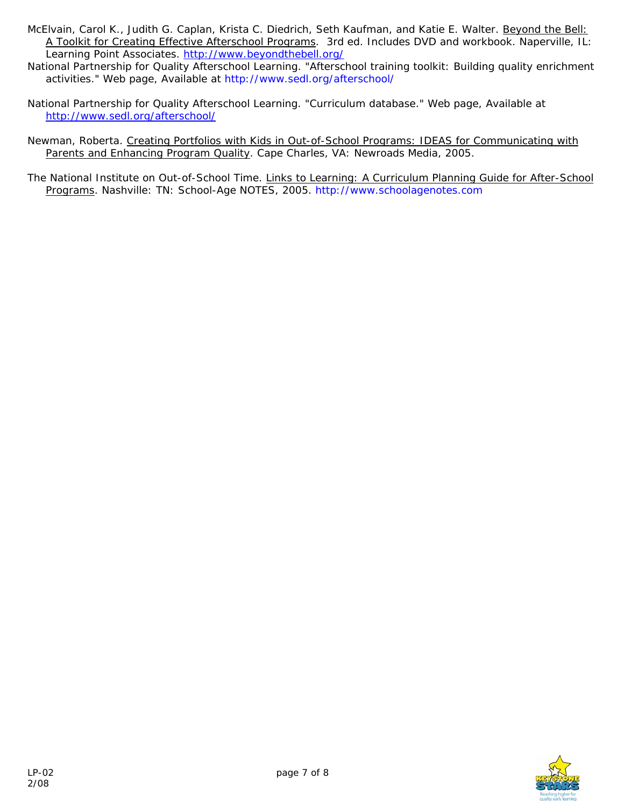- McElvain, Carol K., Judith G. Caplan, Krista C. Diedrich, Seth Kaufman, and Katie E. Walter. Beyond the Bell: A Toolkit for Creating Effective Afterschool Programs. 3rd ed. Includes DVD and workbook. Naperville, IL: Learning Point Associates.<http://www.beyondthebell.org/>
- National Partnership for Quality Afterschool Learning. "Afterschool training toolkit: Building quality enrichment activities." Web page, Available at http://www.sedl.org/afterschool/
- National Partnership for Quality Afterschool Learning. "Curriculum database." Web page, Available at <http://www.sedl.org/afterschool/>
- Newman, Roberta. Creating Portfolios with Kids in Out-of-School Programs: IDEAS for Communicating with Parents and Enhancing Program Quality. Cape Charles, VA: Newroads Media, 2005.

The National Institute on Out-of-School Time. Links to Learning: A Curriculum Planning Guide for After-School Programs. Nashville: TN: School-Age NOTES, 2005. http://www.schoolagenotes.com